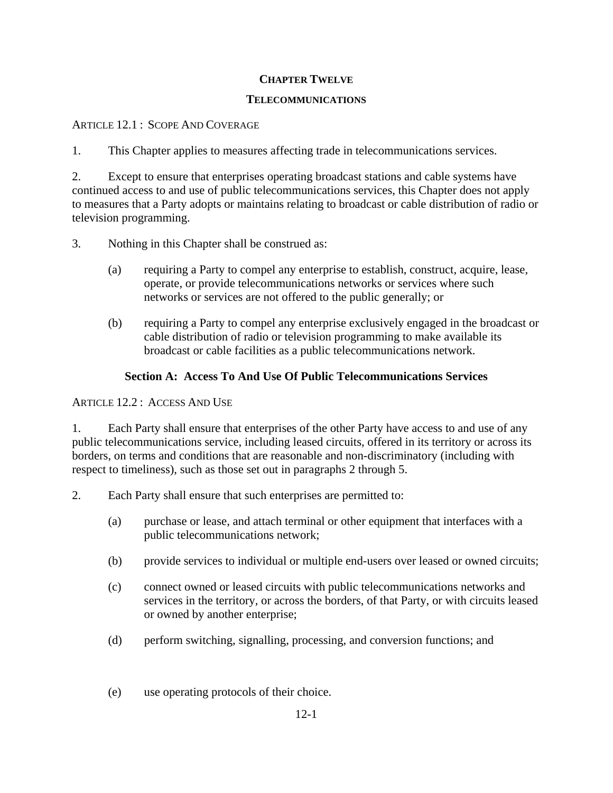#### **CHAPTER TWELVE**

#### **TELECOMMUNICATIONS**

## ARTICLE 12.1 : SCOPE AND COVERAGE

1. This Chapter applies to measures affecting trade in telecommunications services.

2. Except to ensure that enterprises operating broadcast stations and cable systems have continued access to and use of public telecommunications services, this Chapter does not apply to measures that a Party adopts or maintains relating to broadcast or cable distribution of radio or television programming.

3. Nothing in this Chapter shall be construed as:

- (a) requiring a Party to compel any enterprise to establish, construct, acquire, lease, operate, or provide telecommunications networks or services where such networks or services are not offered to the public generally; or
- (b) requiring a Party to compel any enterprise exclusively engaged in the broadcast or cable distribution of radio or television programming to make available its broadcast or cable facilities as a public telecommunications network.

## **Section A: Access To And Use Of Public Telecommunications Services**

ARTICLE 12.2 : ACCESS AND USE

1. Each Party shall ensure that enterprises of the other Party have access to and use of any public telecommunications service, including leased circuits, offered in its territory or across its borders, on terms and conditions that are reasonable and non-discriminatory (including with respect to timeliness), such as those set out in paragraphs 2 through 5.

- 2. Each Party shall ensure that such enterprises are permitted to:
	- (a) purchase or lease, and attach terminal or other equipment that interfaces with a public telecommunications network;
	- (b) provide services to individual or multiple end-users over leased or owned circuits;
	- (c) connect owned or leased circuits with public telecommunications networks and services in the territory, or across the borders, of that Party, or with circuits leased or owned by another enterprise;
	- (d) perform switching, signalling, processing, and conversion functions; and
	- (e) use operating protocols of their choice.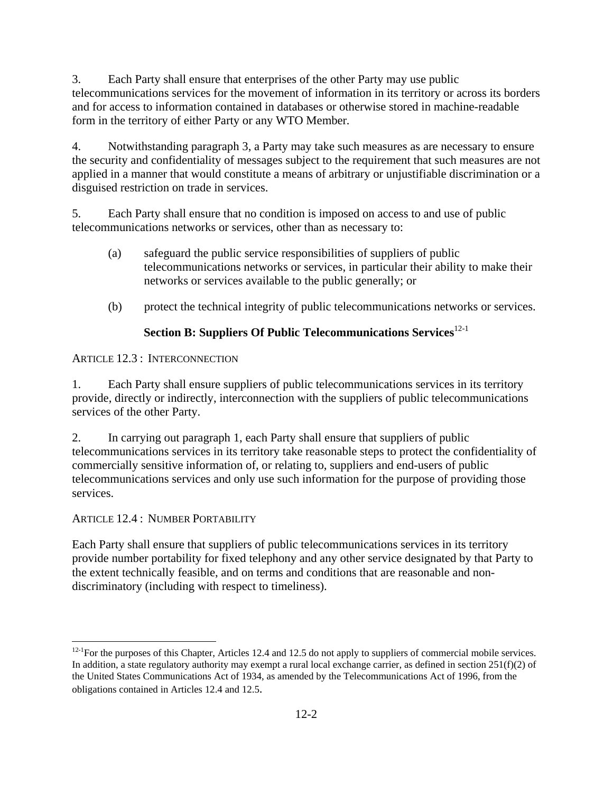3. Each Party shall ensure that enterprises of the other Party may use public telecommunications services for the movement of information in its territory or across its borders and for access to information contained in databases or otherwise stored in machine-readable form in the territory of either Party or any WTO Member*.*

4. Notwithstanding paragraph 3, a Party may take such measures as are necessary to ensure the security and confidentiality of messages subject to the requirement that such measures are not applied in a manner that would constitute a means of arbitrary or unjustifiable discrimination or a disguised restriction on trade in services.

5. Each Party shall ensure that no condition is imposed on access to and use of public telecommunications networks or services, other than as necessary to:

- (a) safeguard the public service responsibilities of suppliers of public telecommunications networks or services, in particular their ability to make their networks or services available to the public generally; or
- (b) protect the technical integrity of public telecommunications networks or services.

# **Section B: Suppliers Of Public Telecommunications Services**12-1

# ARTICLE 12.3 : INTERCONNECTION

1. Each Party shall ensure suppliers of public telecommunications services in its territory provide, directly or indirectly, interconnection with the suppliers of public telecommunications services of the other Party.

2. In carrying out paragraph 1, each Party shall ensure that suppliers of public telecommunications services in its territory take reasonable steps to protect the confidentiality of commercially sensitive information of, or relating to, suppliers and end-users of public telecommunications services and only use such information for the purpose of providing those services.

# ARTICLE 12.4 : NUMBER PORTABILITY

Each Party shall ensure that suppliers of public telecommunications services in its territory provide number portability for fixed telephony and any other service designated by that Party to the extent technically feasible, and on terms and conditions that are reasonable and nondiscriminatory (including with respect to timeliness).

 $\overline{a}$  $12-1$ For the purposes of this Chapter, Articles 12.4 and 12.5 do not apply to suppliers of commercial mobile services. In addition, a state regulatory authority may exempt a rural local exchange carrier, as defined in section  $251(f)(2)$  of the United States Communications Act of 1934, as amended by the Telecommunications Act of 1996, from the obligations contained in Articles 12.4 and 12.5.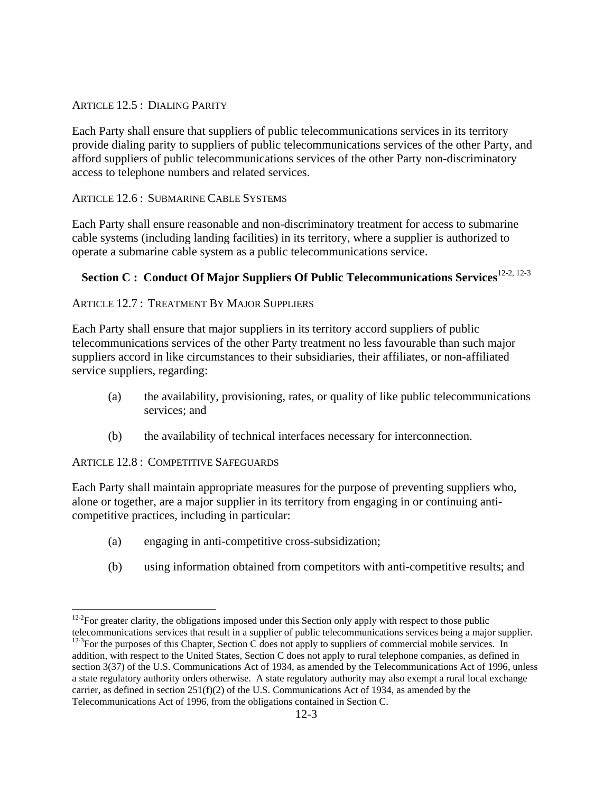#### ARTICLE 12.5 : DIALING PARITY

Each Party shall ensure that suppliers of public telecommunications services in its territory provide dialing parity to suppliers of public telecommunications services of the other Party, and afford suppliers of public telecommunications services of the other Party non-discriminatory access to telephone numbers and related services.

#### ARTICLE 12.6 : SUBMARINE CABLE SYSTEMS

Each Party shall ensure reasonable and non-discriminatory treatment for access to submarine cable systems (including landing facilities) in its territory, where a supplier is authorized to operate a submarine cable system as a public telecommunications service.

# **Section C : Conduct Of Major Suppliers Of Public Telecommunications Services**12-2, 12-3

## ARTICLE 12.7 : TREATMENT BY MAJOR SUPPLIERS

Each Party shall ensure that major suppliers in its territory accord suppliers of public telecommunications services of the other Party treatment no less favourable than such major suppliers accord in like circumstances to their subsidiaries, their affiliates, or non-affiliated service suppliers, regarding:

- (a) the availability, provisioning, rates, or quality of like public telecommunications services; and
- (b) the availability of technical interfaces necessary for interconnection.

ARTICLE 12.8 : COMPETITIVE SAFEGUARDS

 $\overline{a}$ 

Each Party shall maintain appropriate measures for the purpose of preventing suppliers who, alone or together, are a major supplier in its territory from engaging in or continuing anticompetitive practices, including in particular:

- (a) engaging in anti-competitive cross-subsidization;
- (b) using information obtained from competitors with anti-competitive results; and

 $12-2$ For greater clarity, the obligations imposed under this Section only apply with respect to those public telecommunications services being a major supplier.

 $12-3$ For the purposes of this Chapter, Section C does not apply to suppliers of commercial mobile services. In addition, with respect to the United States, Section C does not apply to rural telephone companies, as defined in section 3(37) of the U.S. Communications Act of 1934, as amended by the Telecommunications Act of 1996, unless a state regulatory authority orders otherwise. A state regulatory authority may also exempt a rural local exchange carrier, as defined in section  $251(f)(2)$  of the U.S. Communications Act of 1934, as amended by the Telecommunications Act of 1996, from the obligations contained in Section C.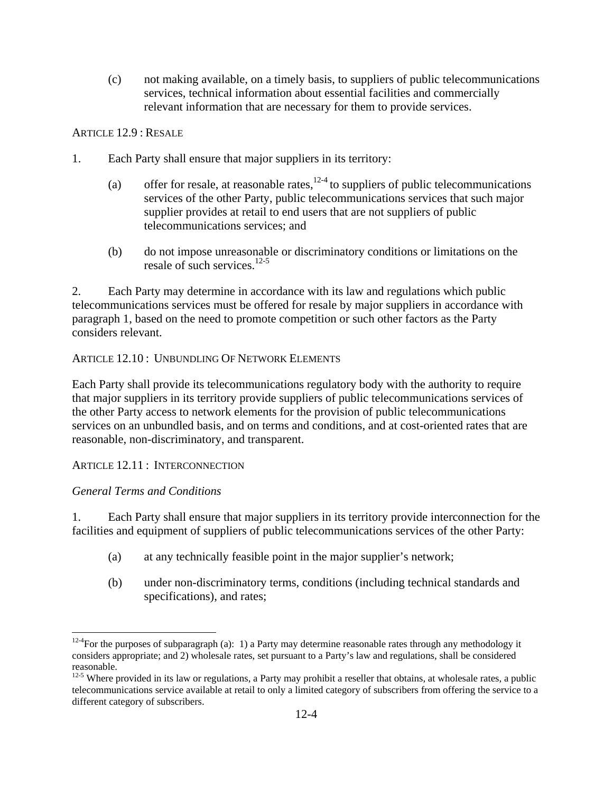(c) not making available, on a timely basis, to suppliers of public telecommunications services, technical information about essential facilities and commercially relevant information that are necessary for them to provide services.

## ARTICLE 12.9 : RESALE

- 1. Each Party shall ensure that major suppliers in its territory:
	- (a) offer for resale, at reasonable rates, $12-4$  to suppliers of public telecommunications services of the other Party, public telecommunications services that such major supplier provides at retail to end users that are not suppliers of public telecommunications services; and
	- (b) do not impose unreasonable or discriminatory conditions or limitations on the resale of such services.<sup>12-5</sup>

2. Each Party may determine in accordance with its law and regulations which public telecommunications services must be offered for resale by major suppliers in accordance with paragraph 1, based on the need to promote competition or such other factors as the Party considers relevant.

## ARTICLE 12.10 : UNBUNDLING OF NETWORK ELEMENTS

Each Party shall provide its telecommunications regulatory body with the authority to require that major suppliers in its territory provide suppliers of public telecommunications services of the other Party access to network elements for the provision of public telecommunications services on an unbundled basis, and on terms and conditions, and at cost-oriented rates that are reasonable, non-discriminatory, and transparent.

#### ARTICLE 12.11 : INTERCONNECTION

# *General Terms and Conditions*

1. Each Party shall ensure that major suppliers in its territory provide interconnection for the facilities and equipment of suppliers of public telecommunications services of the other Party:

- (a) at any technically feasible point in the major supplier's network;
- (b) under non-discriminatory terms, conditions (including technical standards and specifications), and rates;

<sup>&</sup>lt;u>.</u>  $12-4$ For the purposes of subparagraph (a): 1) a Party may determine reasonable rates through any methodology it considers appropriate; and 2) wholesale rates, set pursuant to a Party's law and regulations, shall be considered reasonable.<br><sup>12-5</sup> Where provided in its law or regulations, a Party may prohibit a reseller that obtains, at wholesale rates, a public

telecommunications service available at retail to only a limited category of subscribers from offering the service to a different category of subscribers.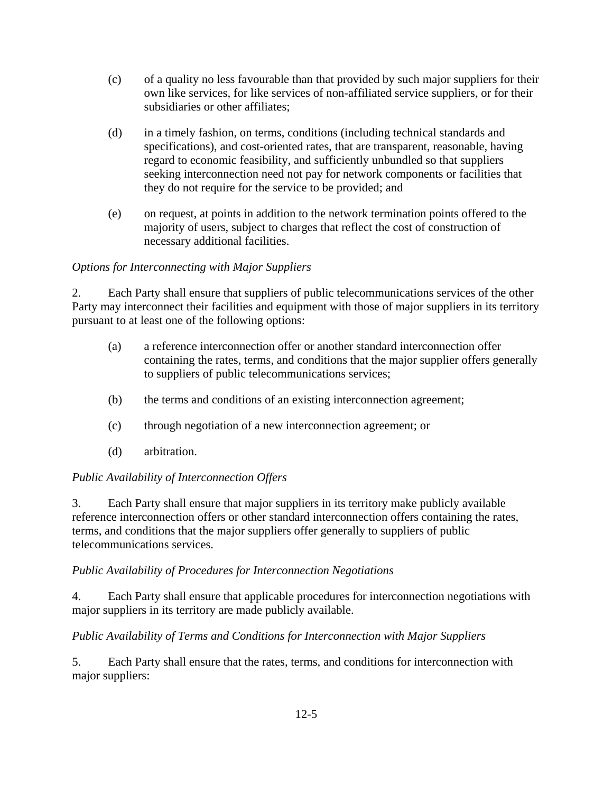- (c) of a quality no less favourable than that provided by such major suppliers for their own like services, for like services of non-affiliated service suppliers, or for their subsidiaries or other affiliates;
- (d) in a timely fashion, on terms, conditions (including technical standards and specifications), and cost-oriented rates, that are transparent, reasonable, having regard to economic feasibility, and sufficiently unbundled so that suppliers seeking interconnection need not pay for network components or facilities that they do not require for the service to be provided; and
- (e) on request, at points in addition to the network termination points offered to the majority of users, subject to charges that reflect the cost of construction of necessary additional facilities.

# *Options for Interconnecting with Major Suppliers*

2. Each Party shall ensure that suppliers of public telecommunications services of the other Party may interconnect their facilities and equipment with those of major suppliers in its territory pursuant to at least one of the following options:

- (a) a reference interconnection offer or another standard interconnection offer containing the rates, terms, and conditions that the major supplier offers generally to suppliers of public telecommunications services;
- (b) the terms and conditions of an existing interconnection agreement;
- (c) through negotiation of a new interconnection agreement; or
- (d) arbitration.

# *Public Availability of Interconnection Offers*

3. Each Party shall ensure that major suppliers in its territory make publicly available reference interconnection offers or other standard interconnection offers containing the rates, terms, and conditions that the major suppliers offer generally to suppliers of public telecommunications services.

# *Public Availability of Procedures for Interconnection Negotiations*

4. Each Party shall ensure that applicable procedures for interconnection negotiations with major suppliers in its territory are made publicly available.

# *Public Availability of Terms and Conditions for Interconnection with Major Suppliers*

5. Each Party shall ensure that the rates, terms, and conditions for interconnection with major suppliers: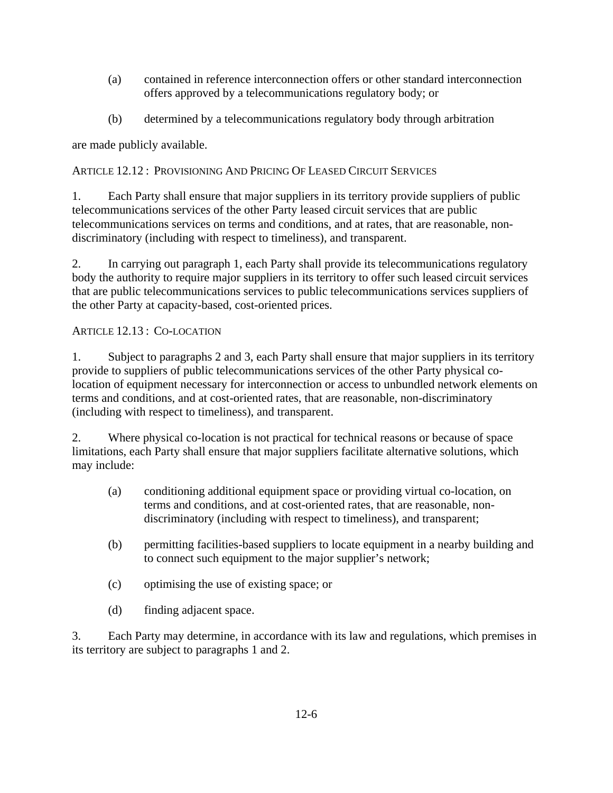- (a) contained in reference interconnection offers or other standard interconnection offers approved by a telecommunications regulatory body; or
- (b) determined by a telecommunications regulatory body through arbitration

are made publicly available.

# ARTICLE 12.12 : PROVISIONING AND PRICING OF LEASED CIRCUIT SERVICES

1. Each Party shall ensure that major suppliers in its territory provide suppliers of public telecommunications service*s* of the other Party leased circuit services that are public telecommunications services on terms and conditions, and at rates, that are reasonable, nondiscriminatory (including with respect to timeliness), and transparent.

2. In carrying out paragraph 1, each Party shall provide its telecommunications regulatory body the authority to require major suppliers in its territory to offer such leased circuit services that are public telecommunications services to public telecommunications services suppliers of the other Party at capacity-based, cost-oriented prices.

# ARTICLE 12.13 : CO-LOCATION

1. Subject to paragraphs 2 and 3, each Party shall ensure that major suppliers in its territory provide to suppliers of public telecommunications services of the other Party physical colocation of equipment necessary for interconnection or access to unbundled network elements on terms and conditions, and at cost-oriented rates, that are reasonable, non-discriminatory (including with respect to timeliness), and transparent.

2. Where physical co-location is not practical for technical reasons or because of space limitations, each Party shall ensure that major suppliers facilitate alternative solutions, which may include:

- (a) conditioning additional equipment space or providing virtual co-location, on terms and conditions, and at cost-oriented rates, that are reasonable, nondiscriminatory (including with respect to timeliness), and transparent;
- (b) permitting facilities-based suppliers to locate equipment in a nearby building and to connect such equipment to the major supplier's network;
- (c) optimising the use of existing space; or
- (d) finding adjacent space.

3. Each Party may determine, in accordance with its law and regulations, which premises in its territory are subject to paragraphs 1 and 2.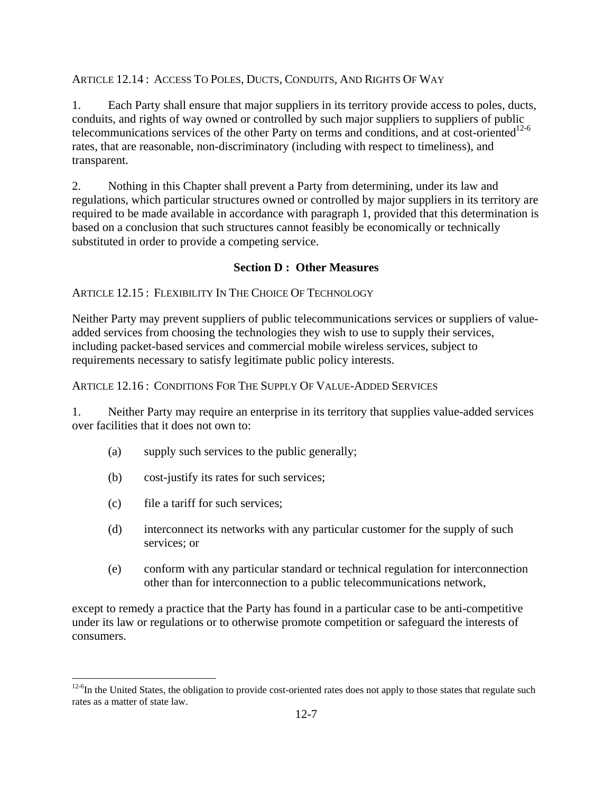# ARTICLE 12.14 : ACCESS TO POLES, DUCTS, CONDUITS, AND RIGHTS OF WAY

1. Each Party shall ensure that major suppliers in its territory provide access to poles, ducts, conduits, and rights of way owned or controlled by such major suppliers to suppliers of public telecommunications services of the other Party on terms and conditions, and at cost-oriented $12-6$ rates, that are reasonable, non-discriminatory (including with respect to timeliness), and transparent.

2. Nothing in this Chapter shall prevent a Party from determining, under its law and regulations, which particular structures owned or controlled by major suppliers in its territory are required to be made available in accordance with paragraph 1, provided that this determination is based on a conclusion that such structures cannot feasibly be economically or technically substituted in order to provide a competing service.

## **Section D : Other Measures**

## ARTICLE 12.15 : FLEXIBILITY IN THE CHOICE OF TECHNOLOGY

Neither Party may prevent suppliers of public telecommunications services or suppliers of valueadded services from choosing the technologies they wish to use to supply their services, including packet-based services and commercial mobile wireless services, subject to requirements necessary to satisfy legitimate public policy interests.

#### ARTICLE 12.16 : CONDITIONS FOR THE SUPPLY OF VALUE-ADDED SERVICES

1. Neither Party may require an enterprise in its territory that supplies value-added services over facilities that it does not own to:

- (a) supply such services to the public generally;
- (b) cost-justify its rates for such services;
- (c) file a tariff for such services;

 $\overline{a}$ 

- (d) interconnect its networks with any particular customer for the supply of such services; or
- (e) conform with any particular standard or technical regulation for interconnection other than for interconnection to a public telecommunications network,

except to remedy a practice that the Party has found in a particular case to be anti-competitive under its law or regulations or to otherwise promote competition or safeguard the interests of consumers.

<sup>&</sup>lt;sup>12-6</sup>In the United States, the obligation to provide cost-oriented rates does not apply to those states that regulate such rates as a matter of state law.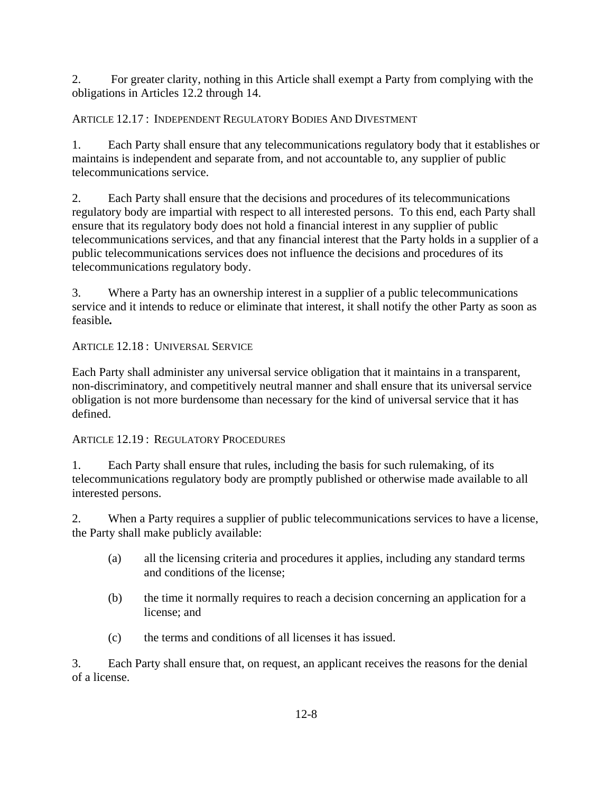2. For greater clarity, nothing in this Article shall exempt a Party from complying with the obligations in Articles 12.2 through 14.

# ARTICLE 12.17 : INDEPENDENT REGULATORY BODIES AND DIVESTMENT

1. Each Party shall ensure that any telecommunications regulatory body that it establishes or maintains is independent and separate from, and not accountable to, any supplier of public telecommunications service.

2. Each Party shall ensure that the decisions and procedures of its telecommunications regulatory body are impartial with respect to all interested persons. To this end, each Party shall ensure that its regulatory body does not hold a financial interest in any supplier of public telecommunications services, and that any financial interest that the Party holds in a supplier of a public telecommunications services does not influence the decisions and procedures of its telecommunications regulatory body.

3. Where a Party has an ownership interest in a supplier of a public telecommunications service and it intends to reduce or eliminate that interest, it shall notify the other Party as soon as feasible*.*

# ARTICLE 12.18 : UNIVERSAL SERVICE

Each Party shall administer any universal service obligation that it maintains in a transparent, non-discriminatory, and competitively neutral manner and shall ensure that its universal service obligation is not more burdensome than necessary for the kind of universal service that it has defined.

# ARTICLE 12.19 : REGULATORY PROCEDURES

1. Each Party shall ensure that rules, including the basis for such rulemaking, of its telecommunications regulatory body are promptly published or otherwise made available to all interested persons.

2. When a Party requires a supplier of public telecommunications services to have a license, the Party shall make publicly available:

- (a) all the licensing criteria and procedures it applies, including any standard terms and conditions of the license;
- (b) the time it normally requires to reach a decision concerning an application for a license; and
- (c) the terms and conditions of all licenses it has issued.

3. Each Party shall ensure that, on request, an applicant receives the reasons for the denial of a license.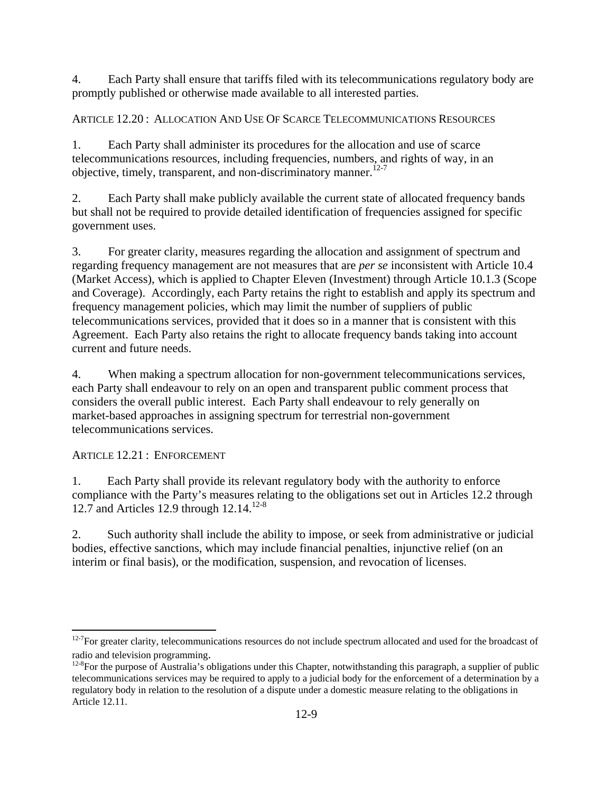4. Each Party shall ensure that tariffs filed with its telecommunications regulatory body are promptly published or otherwise made available to all interested parties.

ARTICLE 12.20 : ALLOCATION AND USE OF SCARCE TELECOMMUNICATIONS RESOURCES

1. Each Party shall administer its procedures for the allocation and use of scarce telecommunications resources, including frequencies, numbers, and rights of way, in an objective, timely, transparent, and non-discriminatory manner.<sup>12-7</sup>

2. Each Party shall make publicly available the current state of allocated frequency bands but shall not be required to provide detailed identification of frequencies assigned for specific government uses.

3. For greater clarity, measures regarding the allocation and assignment of spectrum and regarding frequency management are not measures that are *per se* inconsistent with Article 10.4 (Market Access), which is applied to Chapter Eleven (Investment) through Article 10.1.3 (Scope and Coverage). Accordingly, each Party retains the right to establish and apply its spectrum and frequency management policies, which may limit the number of suppliers of public telecommunications services, provided that it does so in a manner that is consistent with this Agreement. Each Party also retains the right to allocate frequency bands taking into account current and future needs.

4. When making a spectrum allocation for non-government telecommunications services, each Party shall endeavour to rely on an open and transparent public comment process that considers the overall public interest. Each Party shall endeavour to rely generally on market-based approaches in assigning spectrum for terrestrial non-government telecommunications services.

ARTICLE 12.21 : ENFORCEMENT

1. Each Party shall provide its relevant regulatory body with the authority to enforce compliance with the Party's measures relating to the obligations set out in Articles 12.2 through 12.7 and Articles 12.9 through 12.14.12-8

2. Such authority shall include the ability to impose, or seek from administrative or judicial bodies, effective sanctions, which may include financial penalties, injunctive relief (on an interim or final basis), or the modification, suspension, and revocation of licenses.

 $\overline{a}$  $12-7$ For greater clarity, telecommunications resources do not include spectrum allocated and used for the broadcast of

radio and television programming.<br><sup>12-8</sup>For the purpose of Australia's obligations under this Chapter, notwithstanding this paragraph, a supplier of public telecommunications services may be required to apply to a judicial body for the enforcement of a determination by a regulatory body in relation to the resolution of a dispute under a domestic measure relating to the obligations in Article 12.11.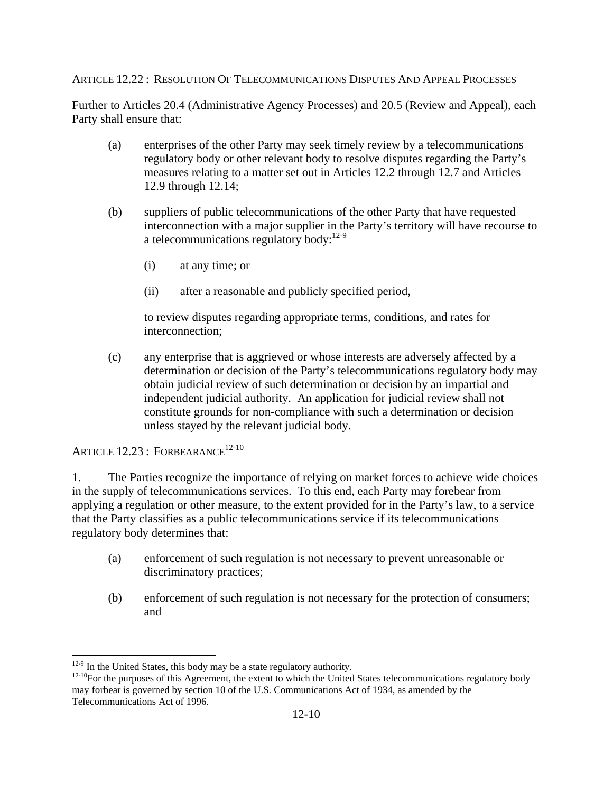ARTICLE 12.22 : RESOLUTION OF TELECOMMUNICATIONS DISPUTES AND APPEAL PROCESSES

Further to Articles 20.4 (Administrative Agency Processes) and 20.5 (Review and Appeal), each Party shall ensure that:

- (a) enterprises of the other Party may seek timely review by a telecommunications regulatory body or other relevant body to resolve disputes regarding the Party's measures relating to a matter set out in Articles 12.2 through 12.7 and Articles 12.9 through 12.14;
- (b) suppliers of public telecommunications of the other Party that have requested interconnection with a major supplier in the Party's territory will have recourse to a telecommunications regulatory body:12-9
	- (i) at any time; or
	- (ii) after a reasonable and publicly specified period,

to review disputes regarding appropriate terms, conditions, and rates for interconnection;

(c) any enterprise that is aggrieved or whose interests are adversely affected by a determination or decision of the Party's telecommunications regulatory body may obtain judicial review of such determination or decision by an impartial and independent judicial authority. An application for judicial review shall not constitute grounds for non-compliance with such a determination or decision unless stayed by the relevant judicial body.

# ARTICLE  $12.23$ : FORBEARANCE<sup>12-10</sup>

1. The Parties recognize the importance of relying on market forces to achieve wide choices in the supply of telecommunications services. To this end, each Party may forebear from applying a regulation or other measure, to the extent provided for in the Party's law, to a service that the Party classifies as a public telecommunications service if its telecommunications regulatory body determines that:

- (a) enforcement of such regulation is not necessary to prevent unreasonable or discriminatory practices;
- (b) enforcement of such regulation is not necessary for the protection of consumers; and

<sup>&</sup>lt;sup>12-9</sup> In the United States, this body may be a state regulatory authority.

 $12-10$ For the purposes of this Agreement, the extent to which the United States telecommunications regulatory body may forbear is governed by section 10 of the U.S. Communications Act of 1934, as amended by the Telecommunications Act of 1996.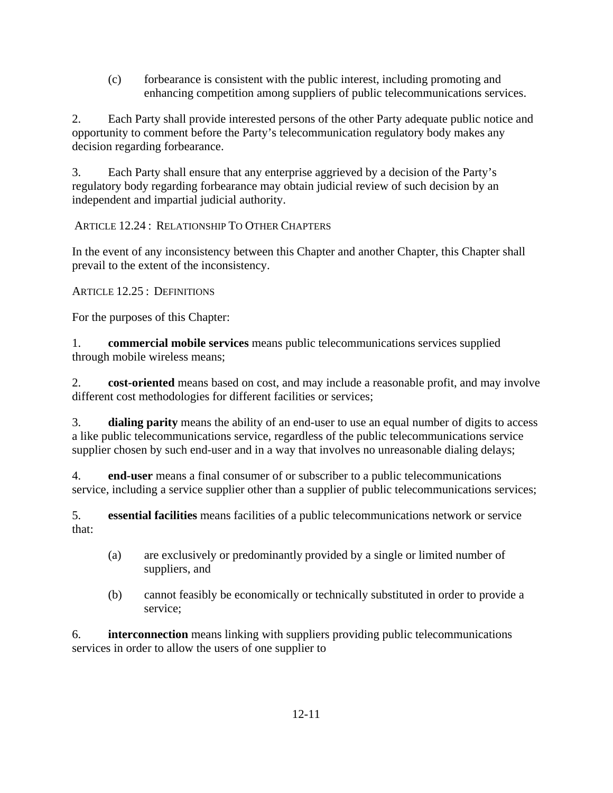(c) forbearance is consistent with the public interest, including promoting and enhancing competition among suppliers of public telecommunications services.

2. Each Party shall provide interested persons of the other Party adequate public notice and opportunity to comment before the Party's telecommunication regulatory body makes any decision regarding forbearance.

3. Each Party shall ensure that any enterprise aggrieved by a decision of the Party's regulatory body regarding forbearance may obtain judicial review of such decision by an independent and impartial judicial authority.

ARTICLE 12.24 : RELATIONSHIP TO OTHER CHAPTERS

In the event of any inconsistency between this Chapter and another Chapter, this Chapter shall prevail to the extent of the inconsistency.

ARTICLE 12.25 : DEFINITIONS

For the purposes of this Chapter:

1. **commercial mobile services** means public telecommunications services supplied through mobile wireless means;

2. **cost-oriented** means based on cost, and may include a reasonable profit, and may involve different cost methodologies for different facilities or services;

3. **dialing parity** means the ability of an end-user to use an equal number of digits to access a like public telecommunications service, regardless of the public telecommunications service supplier chosen by such end-user and in a way that involves no unreasonable dialing delays;

4. **end-user** means a final consumer of or subscriber to a public telecommunications service, including a service supplier other than a supplier of public telecommunications services;

5. **essential facilities** means facilities of a public telecommunications network or service that:

- (a) are exclusively or predominantly provided by a single or limited number of suppliers, and
- (b) cannot feasibly be economically or technically substituted in order to provide a service;

6. **interconnection** means linking with suppliers providing public telecommunications services in order to allow the users of one supplier to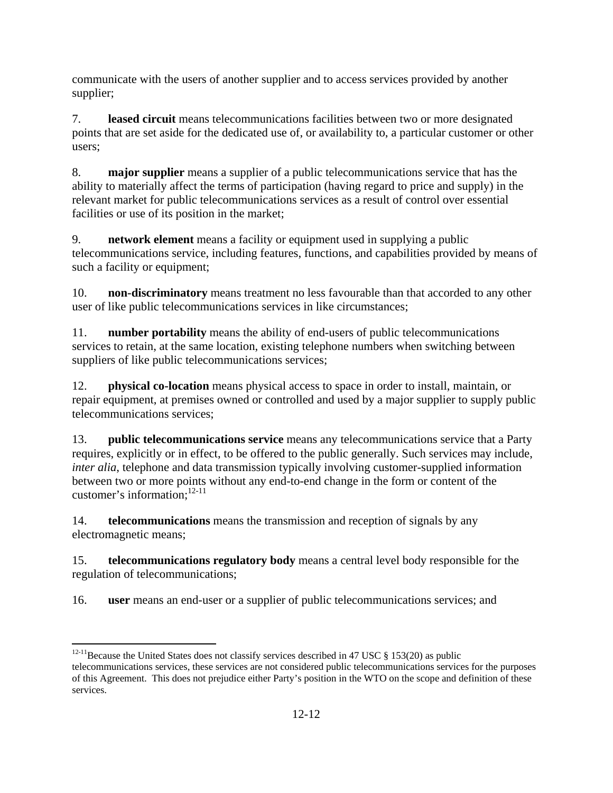communicate with the users of another supplier and to access services provided by another supplier;

7. **leased circuit** means telecommunications facilities between two or more designated points that are set aside for the dedicated use of, or availability to, a particular customer or other users;

8. **major supplier** means a supplier of a public telecommunications service that has the ability to materially affect the terms of participation (having regard to price and supply) in the relevant market for public telecommunications services as a result of control over essential facilities or use of its position in the market;

9. **network element** means a facility or equipment used in supplying a public telecommunications service, including features, functions, and capabilities provided by means of such a facility or equipment;

10. **non-discriminatory** means treatment no less favourable than that accorded to any other user of like public telecommunications services in like circumstances;

11. **number portability** means the ability of end-users of public telecommunications services to retain, at the same location, existing telephone numbers when switching between suppliers of like public telecommunications services;

12. **physical co-location** means physical access to space in order to install, maintain, or repair equipment, at premises owned or controlled and used by a major supplier to supply public telecommunications services;

13. **public telecommunications service** means any telecommunications service that a Party requires, explicitly or in effect, to be offered to the public generally. Such services may include, *inter alia*, telephone and data transmission typically involving customer-supplied information between two or more points without any end-to-end change in the form or content of the customer's information:  $12-11$ 

14. **telecommunications** means the transmission and reception of signals by any electromagnetic means;

15. **telecommunications regulatory body** means a central level body responsible for the regulation of telecommunications;

16. **user** means an end-user or a supplier of public telecommunications services; and

 $\overline{a}$  $12-11$ Because the United States does not classify services described in 47 USC § 153(20) as public telecommunications services, these services are not considered public telecommunications services for the purposes of this Agreement. This does not prejudice either Party's position in the WTO on the scope and definition of these services.